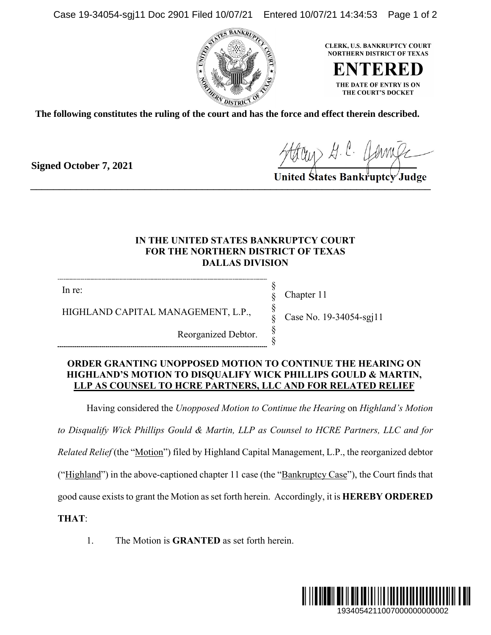Case 19-34054-sgj11 Doc 2901 Filed 10/07/21 Entered 10/07/21 14:34:53 Page 1 of 2



**CLERK, U.S. BANKRUPTCY COURT NORTHERN DISTRICT OF TEXAS** 

ENTEI THE DATE OF ENTRY IS ON THE COURT'S DOCKET

**The following constitutes the ruling of the court and has the force and effect therein described.**

**Signed October 7, 2021**

Harry H. C. Component

## **IN THE UNITED STATES BANKRUPTCY COURT FOR THE NORTHERN DISTRICT OF TEXAS DALLAS DIVISION**

In re:

Chapter 11

§ § § § § §

HIGHLAND CAPITAL MANAGEMENT, L.P.,

Reorganized Debtor.

Case No. 19-34054-sgj11

## **ORDER GRANTING UNOPPOSED MOTION TO CONTINUE THE HEARING ON HIGHLAND'S MOTION TO DISQUALIFY WICK PHILLIPS GOULD & MARTIN, LLP AS COUNSEL TO HCRE PARTNERS, LLC AND FOR RELATED RELIEF**

Having considered the *Unopposed Motion to Continue the Hearing* on *Highland's Motion* 

*to Disqualify Wick Phillips Gould & Martin, LLP as Counsel to HCRE Partners, LLC and for* 

*Related Relief* (the "Motion") filed by Highland Capital Management, L.P., the reorganized debtor

("Highland") in the above-captioned chapter 11 case (the "Bankruptcy Case"), the Court finds that

good cause exists to grant the Motion as set forth herein. Accordingly, it is **HEREBY ORDERED** 

**THAT**:

1. The Motion is **GRANTED** as set forth herein.